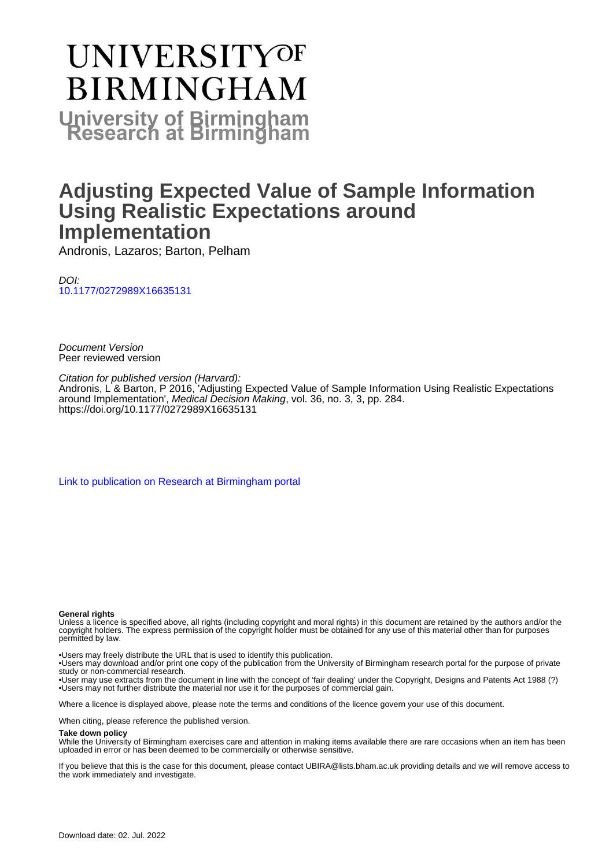# **UNIVERSITYOF BIRMINGHAM University of Birmingham**

## **Adjusting Expected Value of Sample Information Using Realistic Expectations around Implementation**

Andronis, Lazaros; Barton, Pelham

DOI: [10.1177/0272989X16635131](https://doi.org/10.1177/0272989X16635131)

Document Version Peer reviewed version

Citation for published version (Harvard): Andronis, L & Barton, P 2016, 'Adjusting Expected Value of Sample Information Using Realistic Expectations around Implementation', Medical Decision Making, vol. 36, no. 3, 3, pp. 284. <https://doi.org/10.1177/0272989X16635131>

[Link to publication on Research at Birmingham portal](https://birmingham.elsevierpure.com/en/publications/5351b38d-28c9-4802-bb5d-94bee9313c3f)

#### **General rights**

Unless a licence is specified above, all rights (including copyright and moral rights) in this document are retained by the authors and/or the copyright holders. The express permission of the copyright holder must be obtained for any use of this material other than for purposes permitted by law.

• Users may freely distribute the URL that is used to identify this publication.

• Users may download and/or print one copy of the publication from the University of Birmingham research portal for the purpose of private study or non-commercial research.

• User may use extracts from the document in line with the concept of 'fair dealing' under the Copyright, Designs and Patents Act 1988 (?) • Users may not further distribute the material nor use it for the purposes of commercial gain.

Where a licence is displayed above, please note the terms and conditions of the licence govern your use of this document.

When citing, please reference the published version.

#### **Take down policy**

While the University of Birmingham exercises care and attention in making items available there are rare occasions when an item has been uploaded in error or has been deemed to be commercially or otherwise sensitive.

If you believe that this is the case for this document, please contact UBIRA@lists.bham.ac.uk providing details and we will remove access to the work immediately and investigate.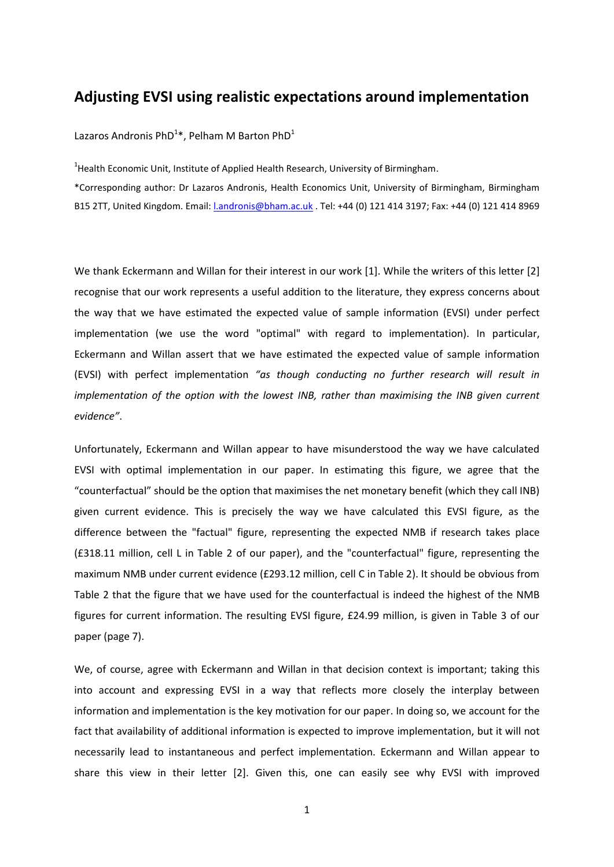### **Adjusting EVSI using realistic expectations around implementation**

Lazaros Andronis PhD<sup>1</sup>\*, Pelham M Barton PhD<sup>1</sup>

<sup>1</sup>Health Economic Unit, Institute of Applied Health Research, University of Birmingham.

\*Corresponding author: Dr Lazaros Andronis, Health Economics Unit, University of Birmingham, Birmingham B15 2TT, United Kingdom. Email: [l.andronis@bham.ac.uk](mailto:l.andronis@bham.ac.uk) . Tel: +44 (0) 121 414 3197; Fax: +44 (0) 121 414 8969

We thank Eckermann and Willan for their interest in our work [1]. While the writers of this letter [2] recognise that our work represents a useful addition to the literature, they express concerns about the way that we have estimated the expected value of sample information (EVSI) under perfect implementation (we use the word "optimal" with regard to implementation). In particular, Eckermann and Willan assert that we have estimated the expected value of sample information (EVSI) with perfect implementation *"as though conducting no further research will result in implementation of the option with the lowest INB, rather than maximising the INB given current evidence"*.

Unfortunately, Eckermann and Willan appear to have misunderstood the way we have calculated EVSI with optimal implementation in our paper. In estimating this figure, we agree that the "counterfactual" should be the option that maximises the net monetary benefit (which they call INB) given current evidence. This is precisely the way we have calculated this EVSI figure, as the difference between the "factual" figure, representing the expected NMB if research takes place (£318.11 million, cell L in Table 2 of our paper), and the "counterfactual" figure, representing the maximum NMB under current evidence (£293.12 million, cell C in Table 2). It should be obvious from Table 2 that the figure that we have used for the counterfactual is indeed the highest of the NMB figures for current information. The resulting EVSI figure, £24.99 million, is given in Table 3 of our paper (page 7).

We, of course, agree with Eckermann and Willan in that decision context is important; taking this into account and expressing EVSI in a way that reflects more closely the interplay between information and implementation is the key motivation for our paper. In doing so, we account for the fact that availability of additional information is expected to improve implementation, but it will not necessarily lead to instantaneous and perfect implementation. Eckermann and Willan appear to share this view in their letter [2]. Given this, one can easily see why EVSI with improved

1